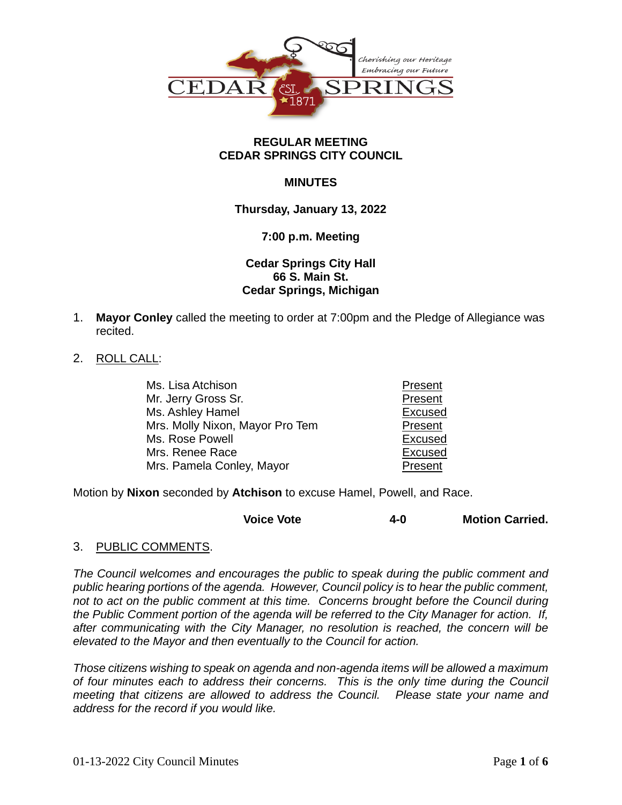

# **REGULAR MEETING CEDAR SPRINGS CITY COUNCIL**

# **MINUTES**

# **Thursday, January 13, 2022**

## **7:00 p.m. Meeting**

# **Cedar Springs City Hall 66 S. Main St. Cedar Springs, Michigan**

1. **Mayor Conley** called the meeting to order at 7:00pm and the Pledge of Allegiance was recited.

# 2. ROLL CALL:

| Ms. Lisa Atchison               | Present |
|---------------------------------|---------|
| Mr. Jerry Gross Sr.             | Present |
| Ms. Ashley Hamel                | Excused |
| Mrs. Molly Nixon, Mayor Pro Tem | Present |
| Ms. Rose Powell                 | Excused |
| Mrs. Renee Race                 | Excused |
| Mrs. Pamela Conley, Mayor       | Present |

Motion by **Nixon** seconded by **Atchison** to excuse Hamel, Powell, and Race.

| <b>Voice Vote</b> | 4-0 | <b>Motion Carried.</b> |
|-------------------|-----|------------------------|
|-------------------|-----|------------------------|

## 3. PUBLIC COMMENTS.

*The Council welcomes and encourages the public to speak during the public comment and public hearing portions of the agenda. However, Council policy is to hear the public comment, not to act on the public comment at this time. Concerns brought before the Council during the Public Comment portion of the agenda will be referred to the City Manager for action. If, after communicating with the City Manager, no resolution is reached, the concern will be elevated to the Mayor and then eventually to the Council for action.*

*Those citizens wishing to speak on agenda and non-agenda items will be allowed a maximum of four minutes each to address their concerns. This is the only time during the Council meeting that citizens are allowed to address the Council. Please state your name and address for the record if you would like.*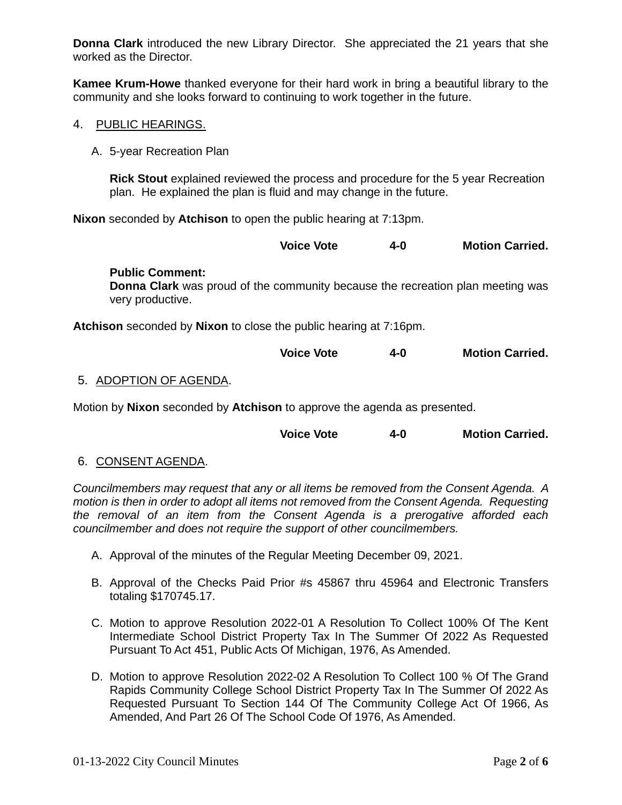**Donna Clark** introduced the new Library Director. She appreciated the 21 years that she worked as the Director.

**Kamee Krum-Howe** thanked everyone for their hard work in bring a beautiful library to the community and she looks forward to continuing to work together in the future.

- 4. PUBLIC HEARINGS.
	- A. 5-year Recreation Plan

**Rick Stout** explained reviewed the process and procedure for the 5 year Recreation plan. He explained the plan is fluid and may change in the future.

**Nixon** seconded by **Atchison** to open the public hearing at 7:13pm.

**Voice Vote 4-0 Motion Carried.**

#### **Public Comment:**

**Donna Clark** was proud of the community because the recreation plan meeting was very productive.

**Atchison** seconded by **Nixon** to close the public hearing at 7:16pm.

| <b>Voice Vote</b> | 4-0 | <b>Motion Carried.</b> |
|-------------------|-----|------------------------|
|-------------------|-----|------------------------|

# 5. ADOPTION OF AGENDA.

Motion by **Nixon** seconded by **Atchison** to approve the agenda as presented.

| <b>Voice Vote</b> | 4-0 | <b>Motion Carried.</b> |
|-------------------|-----|------------------------|
|-------------------|-----|------------------------|

## 6. CONSENT AGENDA.

*Councilmembers may request that any or all items be removed from the Consent Agenda. A motion is then in order to adopt all items not removed from the Consent Agenda. Requesting the removal of an item from the Consent Agenda is a prerogative afforded each councilmember and does not require the support of other councilmembers.*

- A. Approval of the minutes of the Regular Meeting December 09, 2021.
- B. Approval of the Checks Paid Prior #s 45867 thru 45964 and Electronic Transfers totaling \$170745.17.
- C. Motion to approve Resolution 2022-01 A Resolution To Collect 100% Of The Kent Intermediate School District Property Tax In The Summer Of 2022 As Requested Pursuant To Act 451, Public Acts Of Michigan, 1976, As Amended.
- D. Motion to approve Resolution 2022-02 A Resolution To Collect 100 % Of The Grand Rapids Community College School District Property Tax In The Summer Of 2022 As Requested Pursuant To Section 144 Of The Community College Act Of 1966, As Amended, And Part 26 Of The School Code Of 1976, As Amended.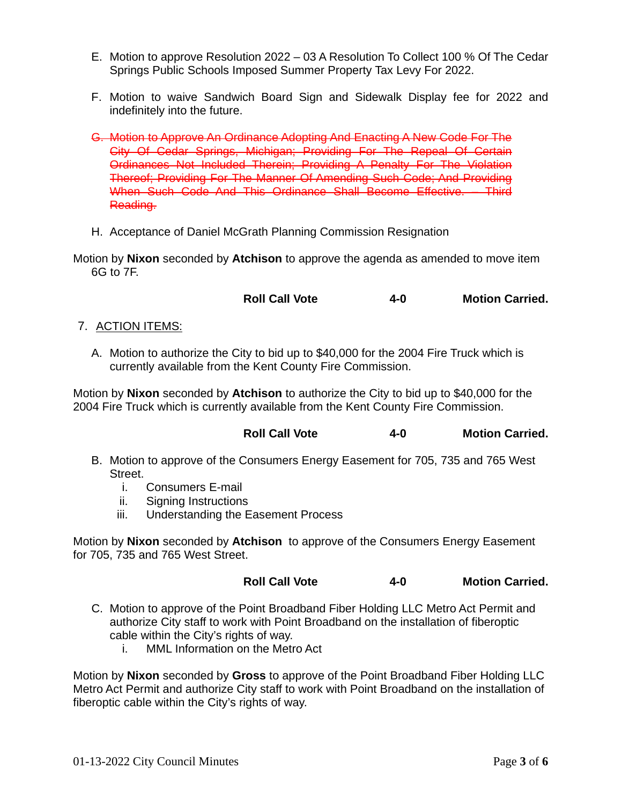- E. Motion to approve Resolution 2022 03 A Resolution To Collect 100 % Of The Cedar Springs Public Schools Imposed Summer Property Tax Levy For 2022.
- F. Motion to waive Sandwich Board Sign and Sidewalk Display fee for 2022 and indefinitely into the future.
- G. Motion to Approve An Ordinance Adopting And Enacting A New Code For The City Of Cedar Springs, Michigan; Providing For The Repeal Of Certain Ordinances Not Included Therein; Providing A Penalty For The Violation Thereof; Providing For The Manner Of Amending Such Code; And Providing When Such Code And This Ordinance Shall Become Effective. – Third Reading.
- H. Acceptance of Daniel McGrath Planning Commission Resignation
- Motion by **Nixon** seconded by **Atchison** to approve the agenda as amended to move item 6G to 7F.

**Roll Call Vote 4-0 Motion Carried.**

- 7. ACTION ITEMS:
	- A. Motion to authorize the City to bid up to \$40,000 for the 2004 Fire Truck which is currently available from the Kent County Fire Commission.

Motion by **Nixon** seconded by **Atchison** to authorize the City to bid up to \$40,000 for the 2004 Fire Truck which is currently available from the Kent County Fire Commission.

# **Roll Call Vote 4-0 Motion Carried.**

- B. Motion to approve of the Consumers Energy Easement for 705, 735 and 765 West Street.
	- i. Consumers E-mail
	- ii. Signing Instructions
	- iii. Understanding the Easement Process

Motion by **Nixon** seconded by **Atchison** to approve of the Consumers Energy Easement for 705, 735 and 765 West Street.

**Roll Call Vote 4-0 Motion Carried.**

- C. Motion to approve of the Point Broadband Fiber Holding LLC Metro Act Permit and authorize City staff to work with Point Broadband on the installation of fiberoptic cable within the City's rights of way.
	- i. MML Information on the Metro Act

Motion by **Nixon** seconded by **Gross** to approve of the Point Broadband Fiber Holding LLC Metro Act Permit and authorize City staff to work with Point Broadband on the installation of fiberoptic cable within the City's rights of way.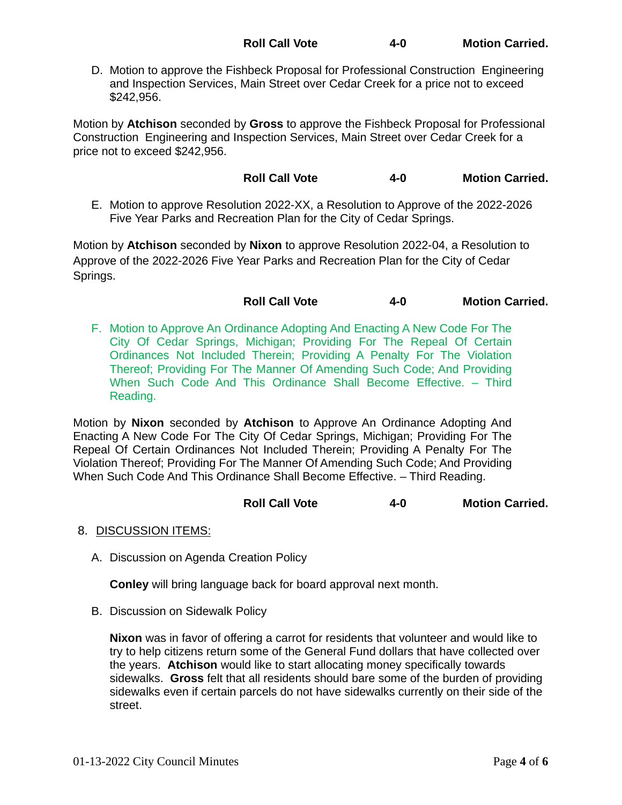D. Motion to approve the Fishbeck Proposal for Professional Construction Engineering and Inspection Services, Main Street over Cedar Creek for a price not to exceed \$242,956.

Motion by **Atchison** seconded by **Gross** to approve the Fishbeck Proposal for Professional Construction Engineering and Inspection Services, Main Street over Cedar Creek for a price not to exceed \$242,956.

**Roll Call Vote 4-0 Motion Carried.**

E. Motion to approve Resolution 2022-XX, a Resolution to Approve of the 2022-2026 Five Year Parks and Recreation Plan for the City of Cedar Springs.

Motion by **Atchison** seconded by **Nixon** to approve Resolution 2022-04, a Resolution to Approve of the 2022-2026 Five Year Parks and Recreation Plan for the City of Cedar Springs.

**Roll Call Vote 4-0 Motion Carried.**

F. Motion to Approve An Ordinance Adopting And Enacting A New Code For The City Of Cedar Springs, Michigan; Providing For The Repeal Of Certain Ordinances Not Included Therein; Providing A Penalty For The Violation Thereof; Providing For The Manner Of Amending Such Code; And Providing When Such Code And This Ordinance Shall Become Effective. – Third Reading.

Motion by **Nixon** seconded by **Atchison** to Approve An Ordinance Adopting And Enacting A New Code For The City Of Cedar Springs, Michigan; Providing For The Repeal Of Certain Ordinances Not Included Therein; Providing A Penalty For The Violation Thereof; Providing For The Manner Of Amending Such Code; And Providing When Such Code And This Ordinance Shall Become Effective. – Third Reading.

# **Roll Call Vote 4-0 Motion Carried.**

- 8. DISCUSSION ITEMS:
	- A. Discussion on Agenda Creation Policy

**Conley** will bring language back for board approval next month.

B. Discussion on Sidewalk Policy

**Nixon** was in favor of offering a carrot for residents that volunteer and would like to try to help citizens return some of the General Fund dollars that have collected over the years. **Atchison** would like to start allocating money specifically towards sidewalks. **Gross** felt that all residents should bare some of the burden of providing sidewalks even if certain parcels do not have sidewalks currently on their side of the street.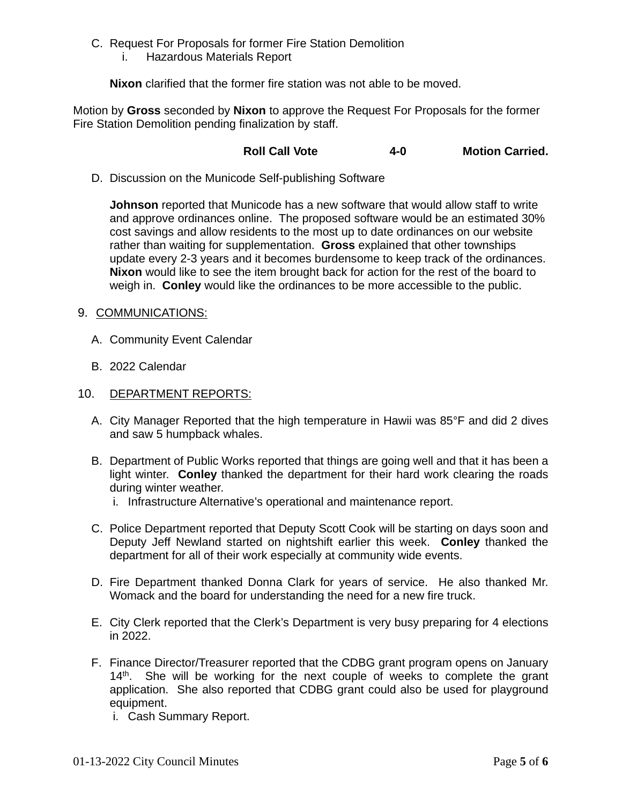- C. Request For Proposals for former Fire Station Demolition
	- i. Hazardous Materials Report

**Nixon** clarified that the former fire station was not able to be moved.

Motion by **Gross** seconded by **Nixon** to approve the Request For Proposals for the former Fire Station Demolition pending finalization by staff.

# **Roll Call Vote 4-0 Motion Carried.**

D. Discussion on the Municode Self-publishing Software

**Johnson** reported that Municode has a new software that would allow staff to write and approve ordinances online. The proposed software would be an estimated 30% cost savings and allow residents to the most up to date ordinances on our website rather than waiting for supplementation. **Gross** explained that other townships update every 2-3 years and it becomes burdensome to keep track of the ordinances. **Nixon** would like to see the item brought back for action for the rest of the board to weigh in. **Conley** would like the ordinances to be more accessible to the public.

- 9. COMMUNICATIONS:
	- A. Community Event Calendar
	- B. 2022 Calendar
- 10. DEPARTMENT REPORTS:
	- A. City Manager Reported that the high temperature in Hawii was 85°F and did 2 dives and saw 5 humpback whales.
	- B. Department of Public Works reported that things are going well and that it has been a light winter. **Conley** thanked the department for their hard work clearing the roads during winter weather.
		- i. Infrastructure Alternative's operational and maintenance report.
	- C. Police Department reported that Deputy Scott Cook will be starting on days soon and Deputy Jeff Newland started on nightshift earlier this week. **Conley** thanked the department for all of their work especially at community wide events.
	- D. Fire Department thanked Donna Clark for years of service. He also thanked Mr. Womack and the board for understanding the need for a new fire truck.
	- E. City Clerk reported that the Clerk's Department is very busy preparing for 4 elections in 2022.
	- F. Finance Director/Treasurer reported that the CDBG grant program opens on January 14<sup>th</sup>. She will be working for the next couple of weeks to complete the grant application. She also reported that CDBG grant could also be used for playground equipment.
		- i. Cash Summary Report.